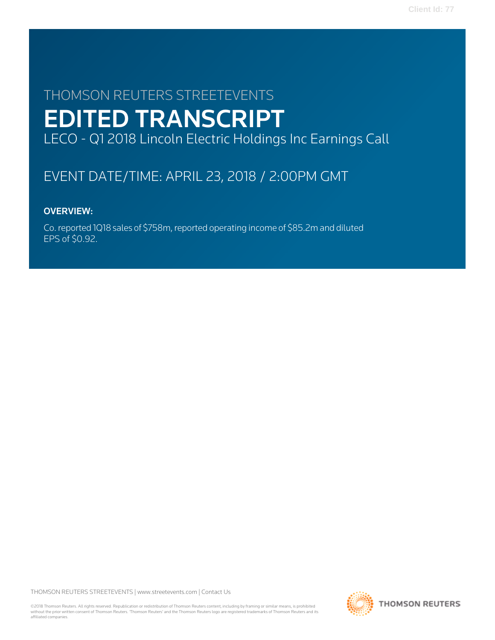# THOMSON REUTERS STREETEVENTS EDITED TRANSCRIPT LECO - Q1 2018 Lincoln Electric Holdings Inc Earnings Call

# EVENT DATE/TIME: APRIL 23, 2018 / 2:00PM GMT

# OVERVIEW:

Co. reported 1Q18 sales of \$758m, reported operating income of \$85.2m and diluted EPS of \$0.92.

THOMSON REUTERS STREETEVENTS | [www.streetevents.com](http://www.streetevents.com) | [Contact Us](http://www010.streetevents.com/contact.asp)

©2018 Thomson Reuters. All rights reserved. Republication or redistribution of Thomson Reuters content, including by framing or similar means, is prohibited without the prior written consent of Thomson Reuters. 'Thomson Reuters' and the Thomson Reuters logo are registered trademarks of Thomson Reuters and its affiliated companies.

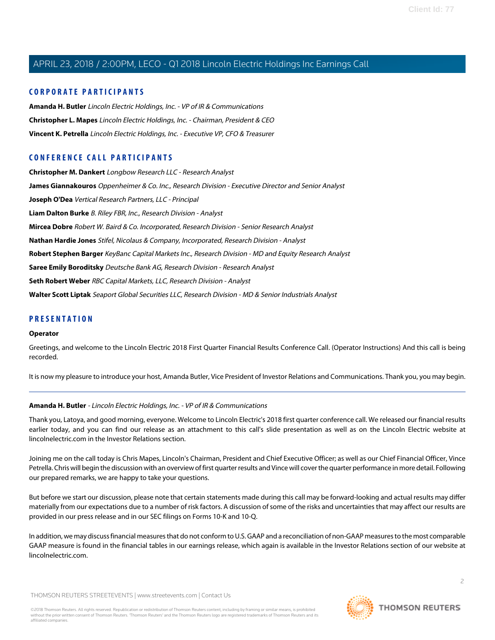## **CORPORATE PARTICIPANTS**

**[Amanda H. Butler](#page-1-0)** Lincoln Electric Holdings, Inc. - VP of IR & Communications **[Christopher L. Mapes](#page-2-0)** Lincoln Electric Holdings, Inc. - Chairman, President & CEO **[Vincent K. Petrella](#page-3-0)** Lincoln Electric Holdings, Inc. - Executive VP, CFO & Treasurer

## **CONFERENCE CALL PARTICIPANTS**

**[Christopher M. Dankert](#page-12-0)** Longbow Research LLC - Research Analyst **[James Giannakouros](#page-7-0)** Oppenheimer & Co. Inc., Research Division - Executive Director and Senior Analyst **[Joseph O'Dea](#page-4-0)** Vertical Research Partners, LLC - Principal **[Liam Dalton Burke](#page-10-0)** B. Riley FBR, Inc., Research Division - Analyst **[Mircea Dobre](#page-6-0)** Robert W. Baird & Co. Incorporated, Research Division - Senior Research Analyst **[Nathan Hardie Jones](#page-5-0)** Stifel, Nicolaus & Company, Incorporated, Research Division - Analyst **[Robert Stephen Barger](#page-11-0)** KeyBanc Capital Markets Inc., Research Division - MD and Equity Research Analyst **[Saree Emily Boroditsky](#page-6-1)** Deutsche Bank AG, Research Division - Research Analyst **[Seth Robert Weber](#page-8-0)** RBC Capital Markets, LLC, Research Division - Analyst **[Walter Scott Liptak](#page-9-0)** Seaport Global Securities LLC, Research Division - MD & Senior Industrials Analyst

## **PRESENTATION**

#### **Operator**

Greetings, and welcome to the Lincoln Electric 2018 First Quarter Financial Results Conference Call. (Operator Instructions) And this call is being recorded.

<span id="page-1-0"></span>It is now my pleasure to introduce your host, Amanda Butler, Vice President of Investor Relations and Communications. Thank you, you may begin.

### **Amanda H. Butler** - Lincoln Electric Holdings, Inc. - VP of IR & Communications

Thank you, Latoya, and good morning, everyone. Welcome to Lincoln Electric's 2018 first quarter conference call. We released our financial results earlier today, and you can find our release as an attachment to this call's slide presentation as well as on the Lincoln Electric website at lincolnelectric.com in the Investor Relations section.

Joining me on the call today is Chris Mapes, Lincoln's Chairman, President and Chief Executive Officer; as well as our Chief Financial Officer, Vince Petrella. Chris will begin the discussion with an overview of first quarter results and Vince will cover the quarter performance in more detail. Following our prepared remarks, we are happy to take your questions.

But before we start our discussion, please note that certain statements made during this call may be forward-looking and actual results may differ materially from our expectations due to a number of risk factors. A discussion of some of the risks and uncertainties that may affect our results are provided in our press release and in our SEC filings on Forms 10-K and 10-Q.

In addition, we may discuss financial measures that do not conform to U.S. GAAP and a reconciliation of non-GAAP measures to the most comparable GAAP measure is found in the financial tables in our earnings release, which again is available in the Investor Relations section of our website at lincolnelectric.com.

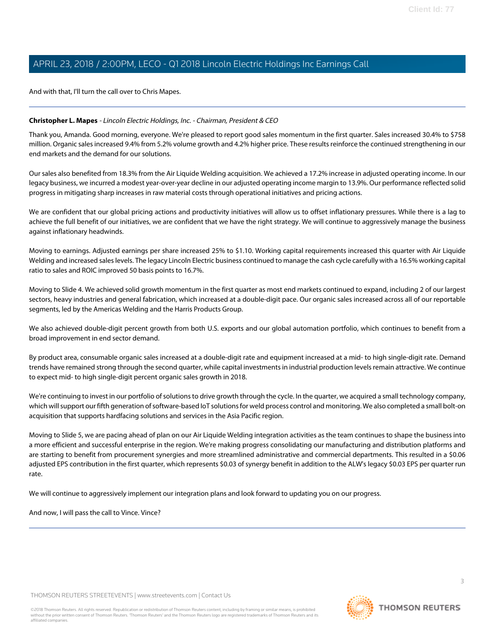And with that, I'll turn the call over to Chris Mapes.

#### <span id="page-2-0"></span>**Christopher L. Mapes** - Lincoln Electric Holdings, Inc. - Chairman, President & CEO

Thank you, Amanda. Good morning, everyone. We're pleased to report good sales momentum in the first quarter. Sales increased 30.4% to \$758 million. Organic sales increased 9.4% from 5.2% volume growth and 4.2% higher price. These results reinforce the continued strengthening in our end markets and the demand for our solutions.

Our sales also benefited from 18.3% from the Air Liquide Welding acquisition. We achieved a 17.2% increase in adjusted operating income. In our legacy business, we incurred a modest year-over-year decline in our adjusted operating income margin to 13.9%. Our performance reflected solid progress in mitigating sharp increases in raw material costs through operational initiatives and pricing actions.

We are confident that our global pricing actions and productivity initiatives will allow us to offset inflationary pressures. While there is a lag to achieve the full benefit of our initiatives, we are confident that we have the right strategy. We will continue to aggressively manage the business against inflationary headwinds.

Moving to earnings. Adjusted earnings per share increased 25% to \$1.10. Working capital requirements increased this quarter with Air Liquide Welding and increased sales levels. The legacy Lincoln Electric business continued to manage the cash cycle carefully with a 16.5% working capital ratio to sales and ROIC improved 50 basis points to 16.7%.

Moving to Slide 4. We achieved solid growth momentum in the first quarter as most end markets continued to expand, including 2 of our largest sectors, heavy industries and general fabrication, which increased at a double-digit pace. Our organic sales increased across all of our reportable segments, led by the Americas Welding and the Harris Products Group.

We also achieved double-digit percent growth from both U.S. exports and our global automation portfolio, which continues to benefit from a broad improvement in end sector demand.

By product area, consumable organic sales increased at a double-digit rate and equipment increased at a mid- to high single-digit rate. Demand trends have remained strong through the second quarter, while capital investments in industrial production levels remain attractive. We continue to expect mid- to high single-digit percent organic sales growth in 2018.

We're continuing to invest in our portfolio of solutions to drive growth through the cycle. In the quarter, we acquired a small technology company, which will support our fifth generation of software-based IoT solutions for weld process control and monitoring. We also completed a small bolt-on acquisition that supports hardfacing solutions and services in the Asia Pacific region.

Moving to Slide 5, we are pacing ahead of plan on our Air Liquide Welding integration activities as the team continues to shape the business into a more efficient and successful enterprise in the region. We're making progress consolidating our manufacturing and distribution platforms and are starting to benefit from procurement synergies and more streamlined administrative and commercial departments. This resulted in a \$0.06 adjusted EPS contribution in the first quarter, which represents \$0.03 of synergy benefit in addition to the ALW's legacy \$0.03 EPS per quarter run rate.

We will continue to aggressively implement our integration plans and look forward to updating you on our progress.

And now, I will pass the call to Vince. Vince?

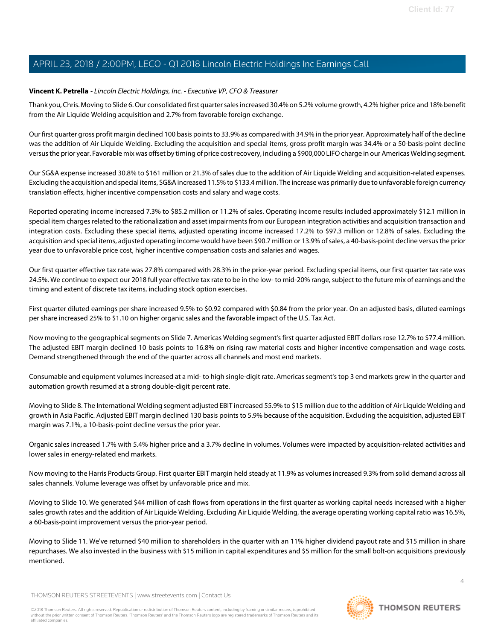#### <span id="page-3-0"></span>**Vincent K. Petrella** - Lincoln Electric Holdings, Inc. - Executive VP, CFO & Treasurer

Thank you, Chris. Moving to Slide 6. Our consolidated first quarter sales increased 30.4% on 5.2% volume growth, 4.2% higher price and 18% benefit from the Air Liquide Welding acquisition and 2.7% from favorable foreign exchange.

Our first quarter gross profit margin declined 100 basis points to 33.9% as compared with 34.9% in the prior year. Approximately half of the decline was the addition of Air Liquide Welding. Excluding the acquisition and special items, gross profit margin was 34.4% or a 50-basis-point decline versus the prior year. Favorable mix was offset by timing of price cost recovery, including a \$900,000 LIFO charge in our Americas Welding segment.

Our SG&A expense increased 30.8% to \$161 million or 21.3% of sales due to the addition of Air Liquide Welding and acquisition-related expenses. Excluding the acquisition and special items, SG&A increased 11.5% to \$133.4 million. The increase was primarily due to unfavorable foreign currency translation effects, higher incentive compensation costs and salary and wage costs.

Reported operating income increased 7.3% to \$85.2 million or 11.2% of sales. Operating income results included approximately \$12.1 million in special item charges related to the rationalization and asset impairments from our European integration activities and acquisition transaction and integration costs. Excluding these special items, adjusted operating income increased 17.2% to \$97.3 million or 12.8% of sales. Excluding the acquisition and special items, adjusted operating income would have been \$90.7 million or 13.9% of sales, a 40-basis-point decline versus the prior year due to unfavorable price cost, higher incentive compensation costs and salaries and wages.

Our first quarter effective tax rate was 27.8% compared with 28.3% in the prior-year period. Excluding special items, our first quarter tax rate was 24.5%. We continue to expect our 2018 full year effective tax rate to be in the low- to mid-20% range, subject to the future mix of earnings and the timing and extent of discrete tax items, including stock option exercises.

First quarter diluted earnings per share increased 9.5% to \$0.92 compared with \$0.84 from the prior year. On an adjusted basis, diluted earnings per share increased 25% to \$1.10 on higher organic sales and the favorable impact of the U.S. Tax Act.

Now moving to the geographical segments on Slide 7. Americas Welding segment's first quarter adjusted EBIT dollars rose 12.7% to \$77.4 million. The adjusted EBIT margin declined 10 basis points to 16.8% on rising raw material costs and higher incentive compensation and wage costs. Demand strengthened through the end of the quarter across all channels and most end markets.

Consumable and equipment volumes increased at a mid- to high single-digit rate. Americas segment's top 3 end markets grew in the quarter and automation growth resumed at a strong double-digit percent rate.

Moving to Slide 8. The International Welding segment adjusted EBIT increased 55.9% to \$15 million due to the addition of Air Liquide Welding and growth in Asia Pacific. Adjusted EBIT margin declined 130 basis points to 5.9% because of the acquisition. Excluding the acquisition, adjusted EBIT margin was 7.1%, a 10-basis-point decline versus the prior year.

Organic sales increased 1.7% with 5.4% higher price and a 3.7% decline in volumes. Volumes were impacted by acquisition-related activities and lower sales in energy-related end markets.

Now moving to the Harris Products Group. First quarter EBIT margin held steady at 11.9% as volumes increased 9.3% from solid demand across all sales channels. Volume leverage was offset by unfavorable price and mix.

Moving to Slide 10. We generated \$44 million of cash flows from operations in the first quarter as working capital needs increased with a higher sales growth rates and the addition of Air Liquide Welding. Excluding Air Liquide Welding, the average operating working capital ratio was 16.5%, a 60-basis-point improvement versus the prior-year period.

Moving to Slide 11. We've returned \$40 million to shareholders in the quarter with an 11% higher dividend payout rate and \$15 million in share repurchases. We also invested in the business with \$15 million in capital expenditures and \$5 million for the small bolt-on acquisitions previously mentioned.

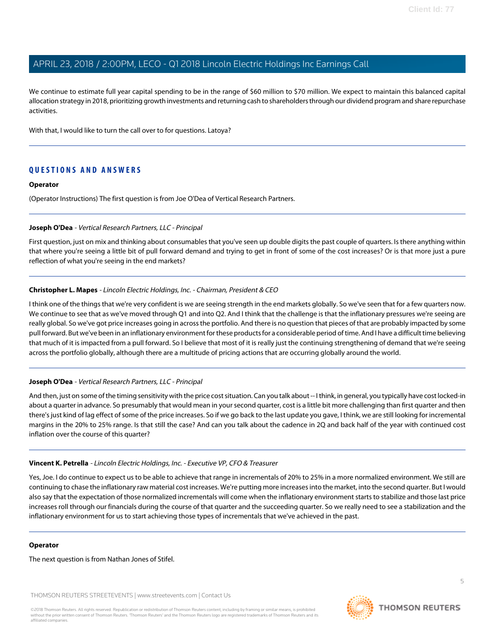We continue to estimate full year capital spending to be in the range of \$60 million to \$70 million. We expect to maintain this balanced capital allocation strategy in 2018, prioritizing growth investments and returning cash to shareholders through our dividend program and share repurchase activities.

With that, I would like to turn the call over to for questions. Latoya?

### **QUESTIONS AND ANSWERS**

#### **Operator**

<span id="page-4-0"></span>(Operator Instructions) The first question is from Joe O'Dea of Vertical Research Partners.

#### **Joseph O'Dea** - Vertical Research Partners, LLC - Principal

First question, just on mix and thinking about consumables that you've seen up double digits the past couple of quarters. Is there anything within that where you're seeing a little bit of pull forward demand and trying to get in front of some of the cost increases? Or is that more just a pure reflection of what you're seeing in the end markets?

#### **Christopher L. Mapes** - Lincoln Electric Holdings, Inc. - Chairman, President & CEO

I think one of the things that we're very confident is we are seeing strength in the end markets globally. So we've seen that for a few quarters now. We continue to see that as we've moved through Q1 and into Q2. And I think that the challenge is that the inflationary pressures we're seeing are really global. So we've got price increases going in across the portfolio. And there is no question that pieces of that are probably impacted by some pull forward. But we've been in an inflationary environment for these products for a considerable period of time. And I have a difficult time believing that much of it is impacted from a pull forward. So I believe that most of it is really just the continuing strengthening of demand that we're seeing across the portfolio globally, although there are a multitude of pricing actions that are occurring globally around the world.

#### **Joseph O'Dea** - Vertical Research Partners, LLC - Principal

And then, just on some of the timing sensitivity with the price cost situation. Can you talk about -- I think, in general, you typically have cost locked-in about a quarter in advance. So presumably that would mean in your second quarter, cost is a little bit more challenging than first quarter and then there's just kind of lag effect of some of the price increases. So if we go back to the last update you gave, I think, we are still looking for incremental margins in the 20% to 25% range. Is that still the case? And can you talk about the cadence in 2Q and back half of the year with continued cost inflation over the course of this quarter?

#### **Vincent K. Petrella** - Lincoln Electric Holdings, Inc. - Executive VP, CFO & Treasurer

Yes, Joe. I do continue to expect us to be able to achieve that range in incrementals of 20% to 25% in a more normalized environment. We still are continuing to chase the inflationary raw material cost increases. We're putting more increases into the market, into the second quarter. But I would also say that the expectation of those normalized incrementals will come when the inflationary environment starts to stabilize and those last price increases roll through our financials during the course of that quarter and the succeeding quarter. So we really need to see a stabilization and the inflationary environment for us to start achieving those types of incrementals that we've achieved in the past.

#### **Operator**

The next question is from Nathan Jones of Stifel.

THOMSON REUTERS STREETEVENTS | [www.streetevents.com](http://www.streetevents.com) | [Contact Us](http://www010.streetevents.com/contact.asp)

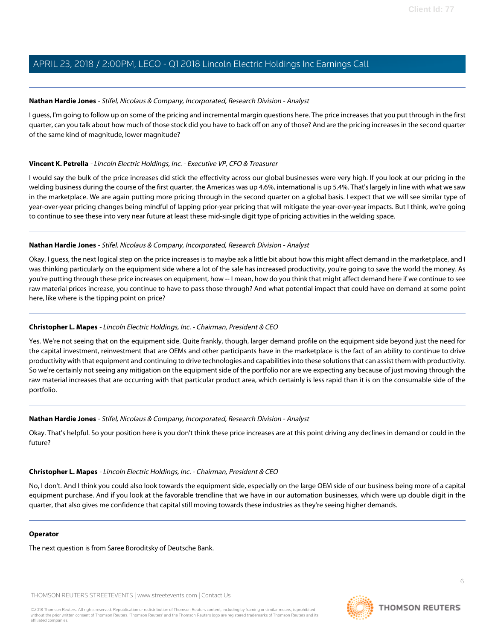#### <span id="page-5-0"></span>**Nathan Hardie Jones** - Stifel, Nicolaus & Company, Incorporated, Research Division - Analyst

I guess, I'm going to follow up on some of the pricing and incremental margin questions here. The price increases that you put through in the first quarter, can you talk about how much of those stock did you have to back off on any of those? And are the pricing increases in the second quarter of the same kind of magnitude, lower magnitude?

#### **Vincent K. Petrella** - Lincoln Electric Holdings, Inc. - Executive VP, CFO & Treasurer

I would say the bulk of the price increases did stick the effectivity across our global businesses were very high. If you look at our pricing in the welding business during the course of the first quarter, the Americas was up 4.6%, international is up 5.4%. That's largely in line with what we saw in the marketplace. We are again putting more pricing through in the second quarter on a global basis. I expect that we will see similar type of year-over-year pricing changes being mindful of lapping prior-year pricing that will mitigate the year-over-year impacts. But I think, we're going to continue to see these into very near future at least these mid-single digit type of pricing activities in the welding space.

#### **Nathan Hardie Jones** - Stifel, Nicolaus & Company, Incorporated, Research Division - Analyst

Okay. I guess, the next logical step on the price increases is to maybe ask a little bit about how this might affect demand in the marketplace, and I was thinking particularly on the equipment side where a lot of the sale has increased productivity, you're going to save the world the money. As you're putting through these price increases on equipment, how -- I mean, how do you think that might affect demand here if we continue to see raw material prices increase, you continue to have to pass those through? And what potential impact that could have on demand at some point here, like where is the tipping point on price?

### **Christopher L. Mapes** - Lincoln Electric Holdings, Inc. - Chairman, President & CEO

Yes. We're not seeing that on the equipment side. Quite frankly, though, larger demand profile on the equipment side beyond just the need for the capital investment, reinvestment that are OEMs and other participants have in the marketplace is the fact of an ability to continue to drive productivity with that equipment and continuing to drive technologies and capabilities into these solutions that can assist them with productivity. So we're certainly not seeing any mitigation on the equipment side of the portfolio nor are we expecting any because of just moving through the raw material increases that are occurring with that particular product area, which certainly is less rapid than it is on the consumable side of the portfolio.

#### **Nathan Hardie Jones** - Stifel, Nicolaus & Company, Incorporated, Research Division - Analyst

Okay. That's helpful. So your position here is you don't think these price increases are at this point driving any declines in demand or could in the future?

#### **Christopher L. Mapes** - Lincoln Electric Holdings, Inc. - Chairman, President & CEO

No, I don't. And I think you could also look towards the equipment side, especially on the large OEM side of our business being more of a capital equipment purchase. And if you look at the favorable trendline that we have in our automation businesses, which were up double digit in the quarter, that also gives me confidence that capital still moving towards these industries as they're seeing higher demands.

#### **Operator**

The next question is from Saree Boroditsky of Deutsche Bank.

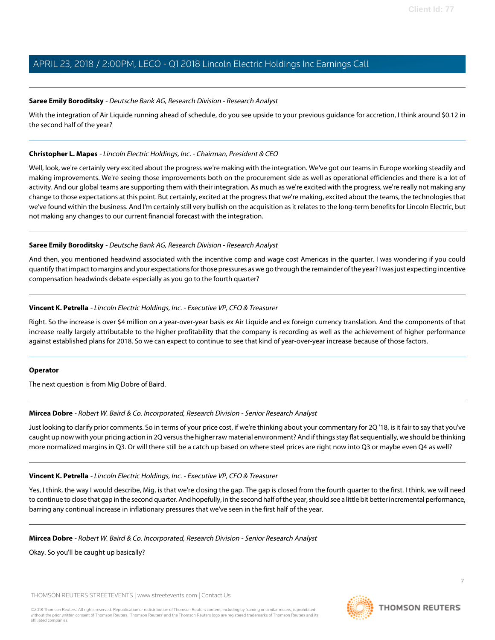#### <span id="page-6-1"></span>**Saree Emily Boroditsky** - Deutsche Bank AG, Research Division - Research Analyst

With the integration of Air Liquide running ahead of schedule, do you see upside to your previous quidance for accretion, I think around \$0.12 in the second half of the year?

#### **Christopher L. Mapes** - Lincoln Electric Holdings, Inc. - Chairman, President & CEO

Well, look, we're certainly very excited about the progress we're making with the integration. We've got our teams in Europe working steadily and making improvements. We're seeing those improvements both on the procurement side as well as operational efficiencies and there is a lot of activity. And our global teams are supporting them with their integration. As much as we're excited with the progress, we're really not making any change to those expectations at this point. But certainly, excited at the progress that we're making, excited about the teams, the technologies that we've found within the business. And I'm certainly still very bullish on the acquisition as it relates to the long-term benefits for Lincoln Electric, but not making any changes to our current financial forecast with the integration.

#### **Saree Emily Boroditsky** - Deutsche Bank AG, Research Division - Research Analyst

And then, you mentioned headwind associated with the incentive comp and wage cost Americas in the quarter. I was wondering if you could quantify that impact to margins and your expectations for those pressures as we go through the remainder of the year? I was just expecting incentive compensation headwinds debate especially as you go to the fourth quarter?

#### **Vincent K. Petrella** - Lincoln Electric Holdings, Inc. - Executive VP, CFO & Treasurer

Right. So the increase is over \$4 million on a year-over-year basis ex Air Liquide and ex foreign currency translation. And the components of that increase really largely attributable to the higher profitability that the company is recording as well as the achievement of higher performance against established plans for 2018. So we can expect to continue to see that kind of year-over-year increase because of those factors.

#### <span id="page-6-0"></span>**Operator**

The next question is from Mig Dobre of Baird.

### **Mircea Dobre** - Robert W. Baird & Co. Incorporated, Research Division - Senior Research Analyst

Just looking to clarify prior comments. So in terms of your price cost, if we're thinking about your commentary for 2Q '18, is it fair to say that you've caught up now with your pricing action in 2Q versus the higher raw material environment? And if things stay flat sequentially, we should be thinking more normalized margins in Q3. Or will there still be a catch up based on where steel prices are right now into Q3 or maybe even Q4 as well?

### **Vincent K. Petrella** - Lincoln Electric Holdings, Inc. - Executive VP, CFO & Treasurer

Yes, I think, the way I would describe, Mig, is that we're closing the gap. The gap is closed from the fourth quarter to the first. I think, we will need to continue to close that gap in the second quarter. And hopefully, in the second half of the year, should see a little bit better incremental performance, barring any continual increase in inflationary pressures that we've seen in the first half of the year.

#### **Mircea Dobre** - Robert W. Baird & Co. Incorporated, Research Division - Senior Research Analyst

Okay. So you'll be caught up basically?

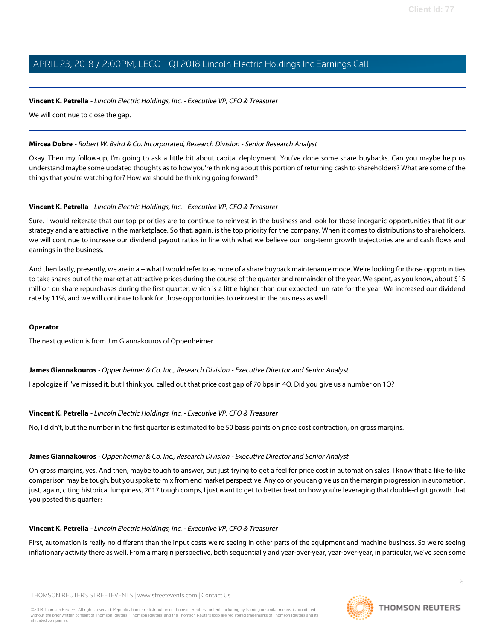#### **Vincent K. Petrella** - Lincoln Electric Holdings, Inc. - Executive VP, CFO & Treasurer

We will continue to close the gap.

#### **Mircea Dobre** - Robert W. Baird & Co. Incorporated, Research Division - Senior Research Analyst

Okay. Then my follow-up, I'm going to ask a little bit about capital deployment. You've done some share buybacks. Can you maybe help us understand maybe some updated thoughts as to how you're thinking about this portion of returning cash to shareholders? What are some of the things that you're watching for? How we should be thinking going forward?

#### **Vincent K. Petrella** - Lincoln Electric Holdings, Inc. - Executive VP, CFO & Treasurer

Sure. I would reiterate that our top priorities are to continue to reinvest in the business and look for those inorganic opportunities that fit our strategy and are attractive in the marketplace. So that, again, is the top priority for the company. When it comes to distributions to shareholders, we will continue to increase our dividend payout ratios in line with what we believe our long-term growth trajectories are and cash flows and earnings in the business.

And then lastly, presently, we are in a -- what I would refer to as more of a share buyback maintenance mode. We're looking for those opportunities to take shares out of the market at attractive prices during the course of the quarter and remainder of the year. We spent, as you know, about \$15 million on share repurchases during the first quarter, which is a little higher than our expected run rate for the year. We increased our dividend rate by 11%, and we will continue to look for those opportunities to reinvest in the business as well.

#### <span id="page-7-0"></span>**Operator**

The next question is from Jim Giannakouros of Oppenheimer.

**James Giannakouros** - Oppenheimer & Co. Inc., Research Division - Executive Director and Senior Analyst

I apologize if I've missed it, but I think you called out that price cost gap of 70 bps in 4Q. Did you give us a number on 1Q?

**Vincent K. Petrella** - Lincoln Electric Holdings, Inc. - Executive VP, CFO & Treasurer

No, I didn't, but the number in the first quarter is estimated to be 50 basis points on price cost contraction, on gross margins.

#### **James Giannakouros** - Oppenheimer & Co. Inc., Research Division - Executive Director and Senior Analyst

On gross margins, yes. And then, maybe tough to answer, but just trying to get a feel for price cost in automation sales. I know that a like-to-like comparison may be tough, but you spoke to mix from end market perspective. Any color you can give us on the margin progression in automation, just, again, citing historical lumpiness, 2017 tough comps, I just want to get to better beat on how you're leveraging that double-digit growth that you posted this quarter?

#### **Vincent K. Petrella** - Lincoln Electric Holdings, Inc. - Executive VP, CFO & Treasurer

First, automation is really no different than the input costs we're seeing in other parts of the equipment and machine business. So we're seeing inflationary activity there as well. From a margin perspective, both sequentially and year-over-year, year-over-year, in particular, we've seen some

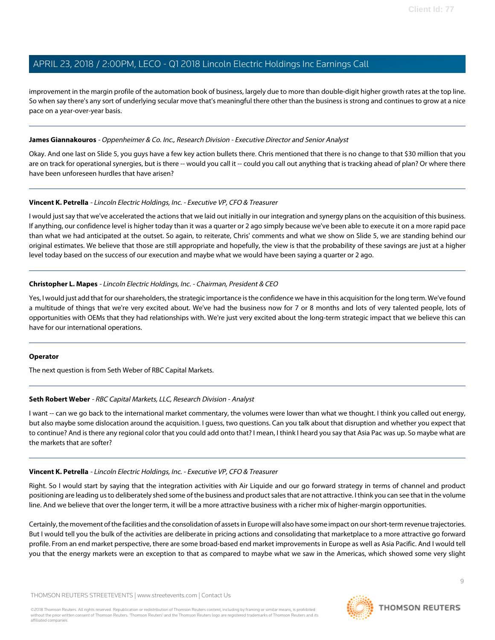improvement in the margin profile of the automation book of business, largely due to more than double-digit higher growth rates at the top line. So when say there's any sort of underlying secular move that's meaningful there other than the business is strong and continues to grow at a nice pace on a year-over-year basis.

#### **James Giannakouros** - Oppenheimer & Co. Inc., Research Division - Executive Director and Senior Analyst

Okay. And one last on Slide 5, you guys have a few key action bullets there. Chris mentioned that there is no change to that \$30 million that you are on track for operational synergies, but is there -- would you call it -- could you call out anything that is tracking ahead of plan? Or where there have been unforeseen hurdles that have arisen?

#### **Vincent K. Petrella** - Lincoln Electric Holdings, Inc. - Executive VP, CFO & Treasurer

I would just say that we've accelerated the actions that we laid out initially in our integration and synergy plans on the acquisition of this business. If anything, our confidence level is higher today than it was a quarter or 2 ago simply because we've been able to execute it on a more rapid pace than what we had anticipated at the outset. So again, to reiterate, Chris' comments and what we show on Slide 5, we are standing behind our original estimates. We believe that those are still appropriate and hopefully, the view is that the probability of these savings are just at a higher level today based on the success of our execution and maybe what we would have been saying a quarter or 2 ago.

#### **Christopher L. Mapes** - Lincoln Electric Holdings, Inc. - Chairman, President & CEO

Yes, I would just add that for our shareholders, the strategic importance is the confidence we have in this acquisition for the long term. We've found a multitude of things that we're very excited about. We've had the business now for 7 or 8 months and lots of very talented people, lots of opportunities with OEMs that they had relationships with. We're just very excited about the long-term strategic impact that we believe this can have for our international operations.

#### <span id="page-8-0"></span>**Operator**

The next question is from Seth Weber of RBC Capital Markets.

#### **Seth Robert Weber** - RBC Capital Markets, LLC, Research Division - Analyst

I want -- can we go back to the international market commentary, the volumes were lower than what we thought. I think you called out energy, but also maybe some dislocation around the acquisition. I guess, two questions. Can you talk about that disruption and whether you expect that to continue? And is there any regional color that you could add onto that? I mean, I think I heard you say that Asia Pac was up. So maybe what are the markets that are softer?

#### **Vincent K. Petrella** - Lincoln Electric Holdings, Inc. - Executive VP, CFO & Treasurer

Right. So I would start by saying that the integration activities with Air Liquide and our go forward strategy in terms of channel and product positioning are leading us to deliberately shed some of the business and product sales that are not attractive. I think you can see that in the volume line. And we believe that over the longer term, it will be a more attractive business with a richer mix of higher-margin opportunities.

Certainly, the movement of the facilities and the consolidation of assets in Europe will also have some impact on our short-term revenue trajectories. But I would tell you the bulk of the activities are deliberate in pricing actions and consolidating that marketplace to a more attractive go forward profile. From an end market perspective, there are some broad-based end market improvements in Europe as well as Asia Pacific. And I would tell you that the energy markets were an exception to that as compared to maybe what we saw in the Americas, which showed some very slight

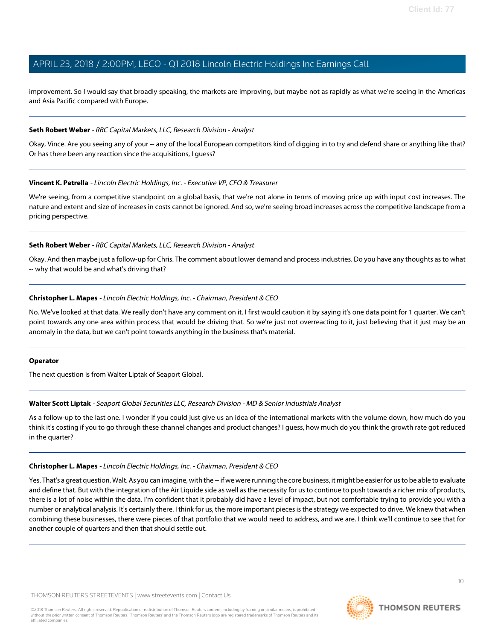improvement. So I would say that broadly speaking, the markets are improving, but maybe not as rapidly as what we're seeing in the Americas and Asia Pacific compared with Europe.

#### **Seth Robert Weber** - RBC Capital Markets, LLC, Research Division - Analyst

Okay, Vince. Are you seeing any of your -- any of the local European competitors kind of digging in to try and defend share or anything like that? Or has there been any reaction since the acquisitions, I guess?

#### **Vincent K. Petrella** - Lincoln Electric Holdings, Inc. - Executive VP, CFO & Treasurer

We're seeing, from a competitive standpoint on a global basis, that we're not alone in terms of moving price up with input cost increases. The nature and extent and size of increases in costs cannot be ignored. And so, we're seeing broad increases across the competitive landscape from a pricing perspective.

#### **Seth Robert Weber** - RBC Capital Markets, LLC, Research Division - Analyst

Okay. And then maybe just a follow-up for Chris. The comment about lower demand and process industries. Do you have any thoughts as to what -- why that would be and what's driving that?

#### **Christopher L. Mapes** - Lincoln Electric Holdings, Inc. - Chairman, President & CEO

No. We've looked at that data. We really don't have any comment on it. I first would caution it by saying it's one data point for 1 quarter. We can't point towards any one area within process that would be driving that. So we're just not overreacting to it, just believing that it just may be an anomaly in the data, but we can't point towards anything in the business that's material.

#### <span id="page-9-0"></span>**Operator**

The next question is from Walter Liptak of Seaport Global.

## **Walter Scott Liptak** - Seaport Global Securities LLC, Research Division - MD & Senior Industrials Analyst

As a follow-up to the last one. I wonder if you could just give us an idea of the international markets with the volume down, how much do you think it's costing if you to go through these channel changes and product changes? I guess, how much do you think the growth rate got reduced in the quarter?

## **Christopher L. Mapes** - Lincoln Electric Holdings, Inc. - Chairman, President & CEO

Yes. That's a great question, Walt. As you can imagine, with the -- if we were running the core business, it might be easier for us to be able to evaluate and define that. But with the integration of the Air Liquide side as well as the necessity for us to continue to push towards a richer mix of products, there is a lot of noise within the data. I'm confident that it probably did have a level of impact, but not comfortable trying to provide you with a number or analytical analysis. It's certainly there. I think for us, the more important pieces is the strategy we expected to drive. We knew that when combining these businesses, there were pieces of that portfolio that we would need to address, and we are. I think we'll continue to see that for another couple of quarters and then that should settle out.

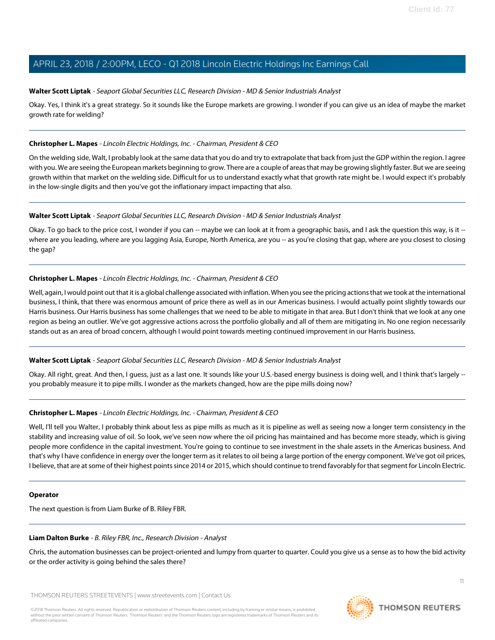#### **Walter Scott Liptak** - Seaport Global Securities LLC, Research Division - MD & Senior Industrials Analyst

Okay. Yes, I think it's a great strategy. So it sounds like the Europe markets are growing. I wonder if you can give us an idea of maybe the market growth rate for welding?

#### **Christopher L. Mapes** - Lincoln Electric Holdings, Inc. - Chairman, President & CEO

On the welding side, Walt, I probably look at the same data that you do and try to extrapolate that back from just the GDP within the region. I agree with you. We are seeing the European markets beginning to grow. There are a couple of areas that may be growing slightly faster. But we are seeing growth within that market on the welding side. Difficult for us to understand exactly what that growth rate might be. I would expect it's probably in the low-single digits and then you've got the inflationary impact impacting that also.

#### **Walter Scott Liptak** - Seaport Global Securities LLC, Research Division - MD & Senior Industrials Analyst

Okay. To go back to the price cost, I wonder if you can -- maybe we can look at it from a geographic basis, and I ask the question this way, is it -where are you leading, where are you lagging Asia, Europe, North America, are you -- as you're closing that gap, where are you closest to closing the gap?

#### **Christopher L. Mapes** - Lincoln Electric Holdings, Inc. - Chairman, President & CEO

Well, again, I would point out that it is a global challenge associated with inflation. When you see the pricing actions that we took at the international business, I think, that there was enormous amount of price there as well as in our Americas business. I would actually point slightly towards our Harris business. Our Harris business has some challenges that we need to be able to mitigate in that area. But I don't think that we look at any one region as being an outlier. We've got aggressive actions across the portfolio globally and all of them are mitigating in. No one region necessarily stands out as an area of broad concern, although I would point towards meeting continued improvement in our Harris business.

#### **Walter Scott Liptak** - Seaport Global Securities LLC, Research Division - MD & Senior Industrials Analyst

Okay. All right, great. And then, I guess, just as a last one. It sounds like your U.S.-based energy business is doing well, and I think that's largely - you probably measure it to pipe mills. I wonder as the markets changed, how are the pipe mills doing now?

### **Christopher L. Mapes** - Lincoln Electric Holdings, Inc. - Chairman, President & CEO

Well, I'll tell you Walter, I probably think about less as pipe mills as much as it is pipeline as well as seeing now a longer term consistency in the stability and increasing value of oil. So look, we've seen now where the oil pricing has maintained and has become more steady, which is giving people more confidence in the capital investment. You're going to continue to see investment in the shale assets in the Americas business. And that's why I have confidence in energy over the longer term as it relates to oil being a large portion of the energy component. We've got oil prices, I believe, that are at some of their highest points since 2014 or 2015, which should continue to trend favorably for that segment for Lincoln Electric.

#### <span id="page-10-0"></span>**Operator**

The next question is from Liam Burke of B. Riley FBR.

#### **Liam Dalton Burke** - B. Riley FBR, Inc., Research Division - Analyst

Chris, the automation businesses can be project-oriented and lumpy from quarter to quarter. Could you give us a sense as to how the bid activity or the order activity is going behind the sales there?

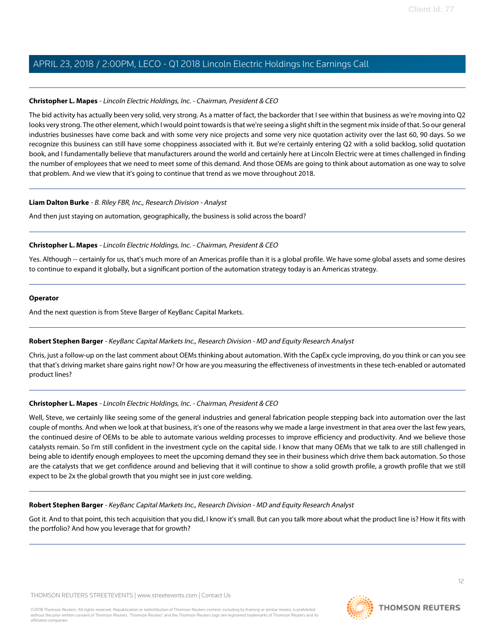#### **Christopher L. Mapes** - Lincoln Electric Holdings, Inc. - Chairman, President & CEO

The bid activity has actually been very solid, very strong. As a matter of fact, the backorder that I see within that business as we're moving into Q2 looks very strong. The other element, which I would point towards is that we're seeing a slight shift in the segment mix inside of that. So our general industries businesses have come back and with some very nice projects and some very nice quotation activity over the last 60, 90 days. So we recognize this business can still have some choppiness associated with it. But we're certainly entering Q2 with a solid backlog, solid quotation book, and I fundamentally believe that manufacturers around the world and certainly here at Lincoln Electric were at times challenged in finding the number of employees that we need to meet some of this demand. And those OEMs are going to think about automation as one way to solve that problem. And we view that it's going to continue that trend as we move throughout 2018.

#### **Liam Dalton Burke** - B. Riley FBR, Inc., Research Division - Analyst

And then just staying on automation, geographically, the business is solid across the board?

#### **Christopher L. Mapes** - Lincoln Electric Holdings, Inc. - Chairman, President & CEO

Yes. Although -- certainly for us, that's much more of an Americas profile than it is a global profile. We have some global assets and some desires to continue to expand it globally, but a significant portion of the automation strategy today is an Americas strategy.

#### **Operator**

<span id="page-11-0"></span>And the next question is from Steve Barger of KeyBanc Capital Markets.

### **Robert Stephen Barger** - KeyBanc Capital Markets Inc., Research Division - MD and Equity Research Analyst

Chris, just a follow-up on the last comment about OEMs thinking about automation. With the CapEx cycle improving, do you think or can you see that that's driving market share gains right now? Or how are you measuring the effectiveness of investments in these tech-enabled or automated product lines?

### **Christopher L. Mapes** - Lincoln Electric Holdings, Inc. - Chairman, President & CEO

Well, Steve, we certainly like seeing some of the general industries and general fabrication people stepping back into automation over the last couple of months. And when we look at that business, it's one of the reasons why we made a large investment in that area over the last few years, the continued desire of OEMs to be able to automate various welding processes to improve efficiency and productivity. And we believe those catalysts remain. So I'm still confident in the investment cycle on the capital side. I know that many OEMs that we talk to are still challenged in being able to identify enough employees to meet the upcoming demand they see in their business which drive them back automation. So those are the catalysts that we get confidence around and believing that it will continue to show a solid growth profile, a growth profile that we still expect to be 2x the global growth that you might see in just core welding.

#### **Robert Stephen Barger** - KeyBanc Capital Markets Inc., Research Division - MD and Equity Research Analyst

Got it. And to that point, this tech acquisition that you did, I know it's small. But can you talk more about what the product line is? How it fits with the portfolio? And how you leverage that for growth?

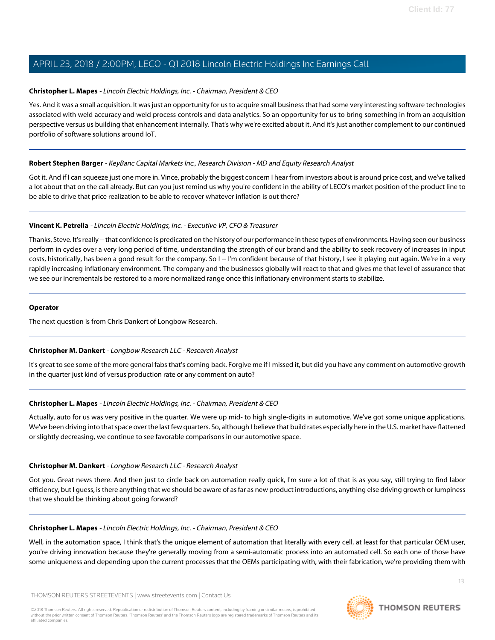#### **Christopher L. Mapes** - Lincoln Electric Holdings, Inc. - Chairman, President & CEO

Yes. And it was a small acquisition. It was just an opportunity for us to acquire small business that had some very interesting software technologies associated with weld accuracy and weld process controls and data analytics. So an opportunity for us to bring something in from an acquisition perspective versus us building that enhancement internally. That's why we're excited about it. And it's just another complement to our continued portfolio of software solutions around IoT.

#### **Robert Stephen Barger** - KeyBanc Capital Markets Inc., Research Division - MD and Equity Research Analyst

Got it. And if I can squeeze just one more in. Vince, probably the biggest concern I hear from investors about is around price cost, and we've talked a lot about that on the call already. But can you just remind us why you're confident in the ability of LECO's market position of the product line to be able to drive that price realization to be able to recover whatever inflation is out there?

#### **Vincent K. Petrella** - Lincoln Electric Holdings, Inc. - Executive VP, CFO & Treasurer

Thanks, Steve. It's really -- that confidence is predicated on the history of our performance in these types of environments. Having seen our business perform in cycles over a very long period of time, understanding the strength of our brand and the ability to seek recovery of increases in input costs, historically, has been a good result for the company. So I -- I'm confident because of that history, I see it playing out again. We're in a very rapidly increasing inflationary environment. The company and the businesses globally will react to that and gives me that level of assurance that we see our incrementals be restored to a more normalized range once this inflationary environment starts to stabilize.

#### **Operator**

<span id="page-12-0"></span>The next question is from Chris Dankert of Longbow Research.

### **Christopher M. Dankert** - Longbow Research LLC - Research Analyst

It's great to see some of the more general fabs that's coming back. Forgive me if I missed it, but did you have any comment on automotive growth in the quarter just kind of versus production rate or any comment on auto?

### **Christopher L. Mapes** - Lincoln Electric Holdings, Inc. - Chairman, President & CEO

Actually, auto for us was very positive in the quarter. We were up mid- to high single-digits in automotive. We've got some unique applications. We've been driving into that space over the last few quarters. So, although I believe that build rates especially here in the U.S. market have flattened or slightly decreasing, we continue to see favorable comparisons in our automotive space.

#### **Christopher M. Dankert** - Longbow Research LLC - Research Analyst

Got you. Great news there. And then just to circle back on automation really quick, I'm sure a lot of that is as you say, still trying to find labor efficiency, but I guess, is there anything that we should be aware of as far as new product introductions, anything else driving growth or lumpiness that we should be thinking about going forward?

#### **Christopher L. Mapes** - Lincoln Electric Holdings, Inc. - Chairman, President & CEO

Well, in the automation space, I think that's the unique element of automation that literally with every cell, at least for that particular OEM user, you're driving innovation because they're generally moving from a semi-automatic process into an automated cell. So each one of those have some uniqueness and depending upon the current processes that the OEMs participating with, with their fabrication, we're providing them with

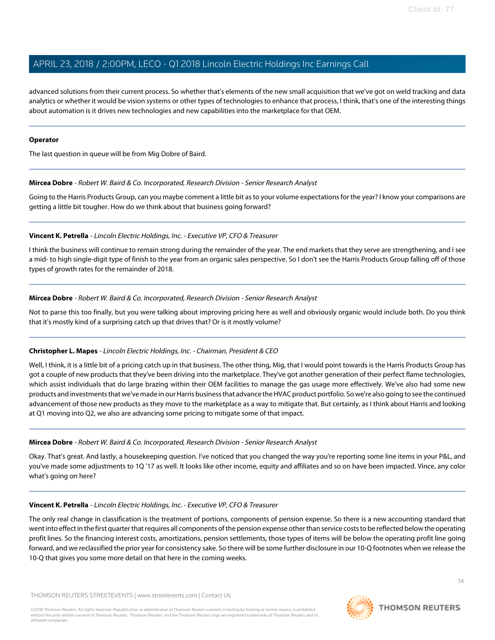advanced solutions from their current process. So whether that's elements of the new small acquisition that we've got on weld tracking and data analytics or whether it would be vision systems or other types of technologies to enhance that process, I think, that's one of the interesting things about automation is it drives new technologies and new capabilities into the marketplace for that OEM.

#### **Operator**

The last question in queue will be from Mig Dobre of Baird.

#### **Mircea Dobre** - Robert W. Baird & Co. Incorporated, Research Division - Senior Research Analyst

Going to the Harris Products Group, can you maybe comment a little bit as to your volume expectations for the year? I know your comparisons are getting a little bit tougher. How do we think about that business going forward?

### **Vincent K. Petrella** - Lincoln Electric Holdings, Inc. - Executive VP, CFO & Treasurer

I think the business will continue to remain strong during the remainder of the year. The end markets that they serve are strengthening, and I see a mid- to high single-digit type of finish to the year from an organic sales perspective. So I don't see the Harris Products Group falling off of those types of growth rates for the remainder of 2018.

#### **Mircea Dobre** - Robert W. Baird & Co. Incorporated, Research Division - Senior Research Analyst

Not to parse this too finally, but you were talking about improving pricing here as well and obviously organic would include both. Do you think that it's mostly kind of a surprising catch up that drives that? Or is it mostly volume?

### **Christopher L. Mapes** - Lincoln Electric Holdings, Inc. - Chairman, President & CEO

Well, I think, it is a little bit of a pricing catch up in that business. The other thing, Mig, that I would point towards is the Harris Products Group has got a couple of new products that they've been driving into the marketplace. They've got another generation of their perfect flame technologies, which assist individuals that do large brazing within their OEM facilities to manage the gas usage more effectively. We've also had some new products and investments that we've made in our Harris business that advance the HVAC product portfolio. So we're also going to see the continued advancement of those new products as they move to the marketplace as a way to mitigate that. But certainly, as I think about Harris and looking at Q1 moving into Q2, we also are advancing some pricing to mitigate some of that impact.

#### **Mircea Dobre** - Robert W. Baird & Co. Incorporated, Research Division - Senior Research Analyst

Okay. That's great. And lastly, a housekeeping question. I've noticed that you changed the way you're reporting some line items in your P&L, and you've made some adjustments to 1Q '17 as well. It looks like other income, equity and affiliates and so on have been impacted. Vince, any color what's going on here?

### **Vincent K. Petrella** - Lincoln Electric Holdings, Inc. - Executive VP, CFO & Treasurer

The only real change in classification is the treatment of portions, components of pension expense. So there is a new accounting standard that went into effect in the first quarter that requires all components of the pension expense other than service costs to be reflected below the operating profit lines. So the financing interest costs, amortizations, pension settlements, those types of items will be below the operating profit line going forward, and we reclassified the prior year for consistency sake. So there will be some further disclosure in our 10-Q footnotes when we release the 10-Q that gives you some more detail on that here in the coming weeks.